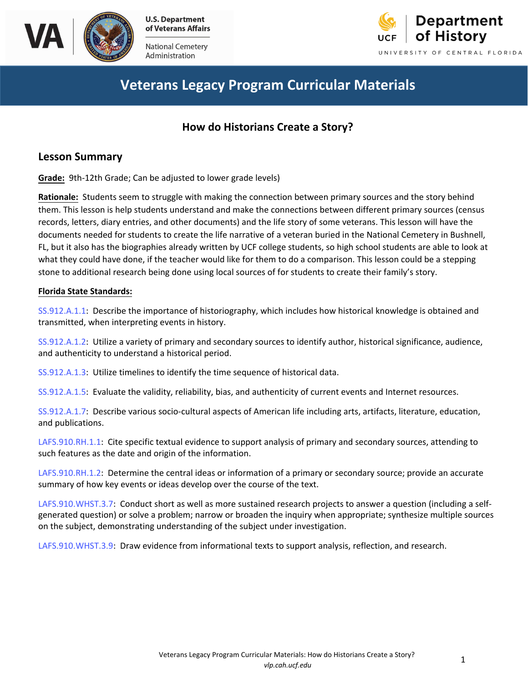



Ad ministration



# **Veterans Legacy Program Curricular Materials**

### **How do Historians Create a Story?**

### **Lesson Summary**

**Grade:** 9th-12th Grade; Can be adjusted to lower grade levels)

**Rationale:** Students seem to struggle with making the connection between primary sources and the story behind them. This lesson is help students understand and make the connections between different primary sources (census records, letters, diary entries, and other documents) and the life story of some veterans. This lesson will have the documents needed for students to create the life narrative of a veteran buried in the National Cemetery in Bushnell, FL, but it also has the biographies already written by UCF college students, so high school students are able to look at what they could have done, if the teacher would like for them to do a comparison. This lesson could be a stepping stone to additional research being done using local sources of for students to create their family's story.

#### **Florida State Standards:**

[SS.912.A.1.1](http://www.cpalms.org/Public/PreviewStandard/Preview/3332): Describe the importance of historiography, which includes how historical knowledge is obtained and transmitted, when interpreting events in history.

[SS.912.A.1.2:](http://www.cpalms.org/Public/PreviewStandard/Preview/3333) Utilize a variety of primary and secondary sources to identify author, historical significance, audience, and authenticity to understand a historical period.

[SS.912.A.1.3:](http://www.cpalms.org/Public/PreviewStandard/Preview/3334) Utilize timelines to identify the time sequence of historical data.

[SS.912.A.1.5:](SS.912.A.1.5) Evaluate the validity, reliability, bias, and authenticity of current events and Internet resources.

[SS.912.A.1.7:](http://www.cpalms.org/Public/PreviewStandard/Preview/3338) Describe various socio-cultural aspects of American life including arts, artifacts, literature, education, and publications.

[LAFS.910.RH.1.1:](http://www.cpalms.org/Public/PreviewStandard/Preview/6172) Cite specific textual evidence to support analysis of primary and secondary sources, attending to such features as the date and origin of the information.

[LAFS.910.RH.1.2](http://www.cpalms.org/Public/PreviewStandard/Preview/6173): Determine the central ideas or information of a primary or secondary source; provide an accurate summary of how key events or ideas develop over the course of the text.

[LAFS.910.WHST.3.7:](http://www.cpalms.org/Public/PreviewStandard/Preview/6238) Conduct short as well as more sustained research projects to answer a question (including a selfgenerated question) or solve a problem; narrow or broaden the inquiry when appropriate; synthesize multiple sources on the subject, demonstrating understanding of the subject under investigation.

[LAFS.910.WHST.3.9](http://www.cpalms.org/Public/PreviewStandard/Preview/6240): Draw evidence from informational texts to support analysis, reflection, and research.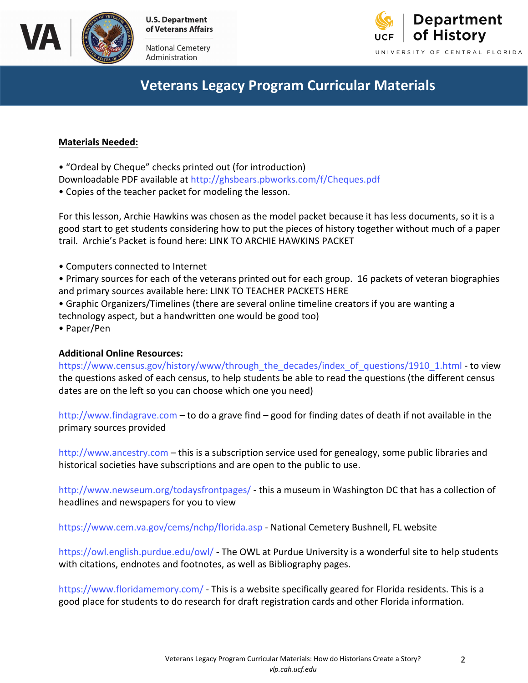

National Cemetery Administration



# **Veterans Legacy Program Curricular Materials**

### **Materials Needed:**

• "Ordeal by Cheque" checks printed out (for introduction)

Downloadable PDF available at http://ghsbears.pbworks.com/f/Cheques.pdf

• Copies of the teacher packet for modeling the lesson.

For this lesson, Archie Hawk[ins was chosen as the model packet because it](http://ghsbears.pbworks.com/f/Cheques.pdf) has less documents, so it is a good start to get students considering how to put the pieces of history together without much of a paper trail. Archie's Packet is found here: LINK TO ARCHIE HAWKINS PACKET

- Computers connected to Internet
- Primary sources for each of the veterans printed out for each group. 16 packets of veteran biographies and primary sources available here: LINK TO TEACHER PACKETS HERE
- Graphic Organizers/Timelines (there are several online timeline creators if you are wanting a technology aspect, but a handwritten one would be good too)
- Paper/Pen

#### **Additional Online Resources:**

https://www.census.gov/history/www/through\_the\_decades/index\_of\_questions/1910\_1.html - to view the questions asked of each census, to help students be able to read the questions (the different census [dates are on the left so you can choose which one you need\)](https://www.census.gov/history/www/through_the_decades/index_of_questions/1910_1.html)

http://www.findagrave.com – to do a grave find – good for finding dates of death if not available in the primary sources provided

[http://www.ancestry.com](http://www.findagrave.com) – this is a subscription service used for genealogy, some public libraries and historical societies have subscriptions and are open to the public to use.

[http://www.newseum.org](http://www.ancestry.com)/todaysfrontpages/ - this a museum in Washington DC that has a collection of headlines and newspapers for you to view

[https://www.cem.va.gov/cems/nchp/florida.a](http://www.newseum.org/todaysfrontpages/)sp - National Cemetery Bushnell, FL website

https://owl.english.purdue.edu/owl/ - The OWL at Purdue University is a wonderful site to help students [with citations, endnotes and footnotes, as well as](https://www.cem.va.gov/cems/nchp/florida.asp) Bibliography pages.

[https://www.floridamemory.com/](https://owl.english.purdue.edu/owl/) - This is a website specifically geared for Florida residents. This is a good place for students to do research for draft registration cards and other Florida information.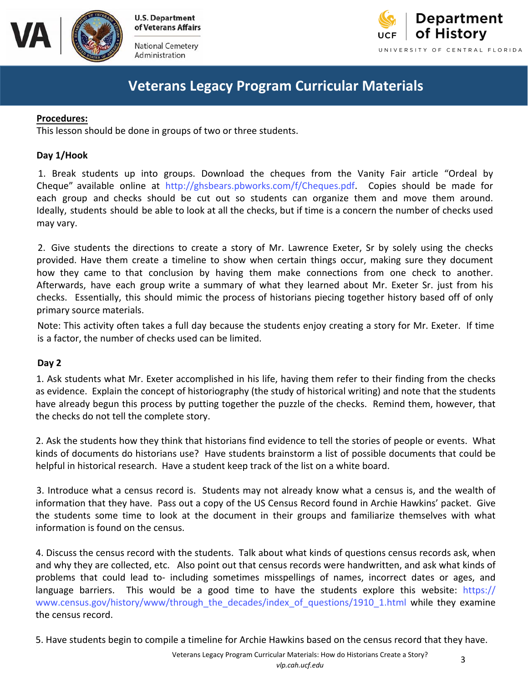

**of Veterans Affairs**  National Cemetery

Administration



# **Veterans Legacy Program Curricular Materials**

#### **Procedures:**

This lesson should be done in groups of two or three students.

### **Day 1/Hook**

1. Break students up into groups. Download the cheques from the Vanity Fair article "Ordeal by Cheque" available online at http://ghsbears.pbworks.com/f/Cheques.pdf. Copies should be made for each group and [checks should be cut out so students can](ttp://ghsbears.pbworks.com/f/Cheques.pdf) organize them and move them around. Ideally, students should be able to look at all the checks, but if time is a concern the number of checks used may vary.

2. Give students the directions to create a story of Mr. Lawrence Exeter, Sr by solely using the checks provided. Have them create a timeline to show when certain things occur, making sure they document how they came to that conclusion by having them make connections from one check to another. Afterwards, have each group write a summary of what they learned about Mr. Exeter Sr. just from his checks. Essentially, this should mimic the process of historians piecing together history based off of only primary source materials.

Note: This activity often takes a full day because the students enjoy creating a story for Mr. Exeter. If time is a factor, the number of checks used can be limited.

#### **Day 2**

1. Ask students what Mr. Exeter accomplished in his life, having them refer to their finding from the checks as evidence. Explain the concept of historiography (the study of historical writing) and note that the students have already begun this process by putting together the puzzle of the checks. Remind them, however, that the checks do not tell the complete story.

2. Ask the students how they think that historians find evidence to tell the stories of people or events. What kinds of documents do historians use? Have students brainstorm a list of possible documents that could be helpful in historical research. Have a student keep track of the list on a white board.

3. Introduce what a census record is. Students may not already know what a census is, and the wealth of information that they have. Pass out a copy of the US Census Record found in Archie Hawkins' packet. Give the students some time to look at the document in their groups and familiarize themselves with what information is found on the census.

 and why they are collected, etc. Also point out that census records were handwritten, and ask what kinds of 4. Discuss the census record with the students. Talk about what kinds of questions census records ask, when problems that could lead to- including sometimes misspellings of names, [incorrect dates or ages, and](https://www.census.gov/history/www/through_the_decades/index_of_questions/1910_1.html)  language [barriers. This would be a good time to have t](https://www.census.gov/history/www/through_the_decades/index_of_questions/1910_1.html)he students explore this website: https:// www.census.gov/history/www/through\_the\_decades/index\_of\_questions/1910\_1.html while they examine the census record.

5. Have students begin to compile a timeline for Archie Hawkins based on the census record that they have.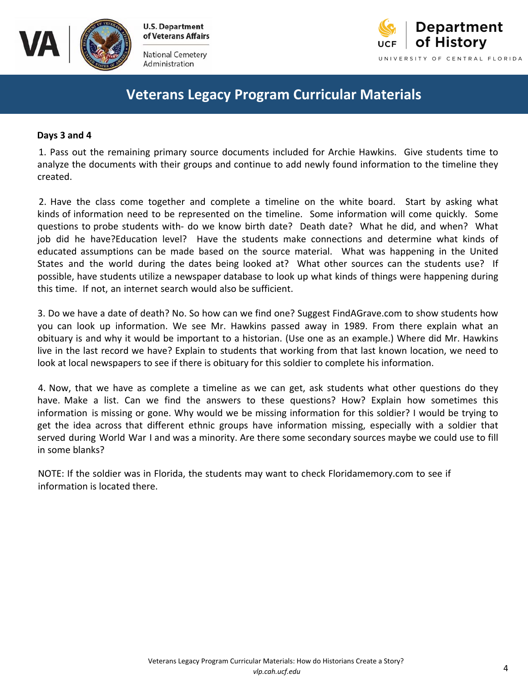

**of Veterans Affairs** 

National Cemetery Administration



# **Veterans Legacy Program Curricular Materials**

#### **Days 3 and 4**

1. Pass out the remaining primary source documents included for Archie Hawkins. Give students time to analyze the documents with their groups and continue to add newly found information to the timeline they created.

2. Have the class come together and complete a timeline on the white board. Start by asking what kinds of information need to be represented on the timeline. Some information will come quickly. Some questions to probe students with- do we know birth date? Death date? What he did, and when? What job did he have?Education level? Have the students make connections and determine what kinds of educated assumptions can be made based on the source material. What was happening in the United States and the world during the dates being looked at? What other sources can the students use? If possible, have students utilize a newspaper database to look up what kinds of things were happening during this time. If not, an internet search would also be sufficient.

3. Do we have a date of death? No. So how can we find one? Suggest FindAGrave.com to show students how you can look up information. We see Mr. Hawkins passed away in 1989. From there explain what an obituary is and why it would be important to a historian. (Use one as an example.) Where did Mr. Hawkins live in the last record we have? Explain to students that working from that last known location, we need to look at local newspapers to see if there is obituary for this soldier to complete his information.

4. Now, that we have as complete a timeline as we can get, ask students what other questions do they have. Make a list. Can we find the answers to these questions? How? Explain how sometimes this information is missing or gone. Why would we be missing information for this soldier? I would be trying to get the idea across that different ethnic groups have information missing, especially with a soldier that served during World War I and was a minority. Are there some secondary sources maybe we could use to fill in some blanks?

NOTE: If the soldier was in Florida, the students may want to check Floridamemory.com to see if information is located there.